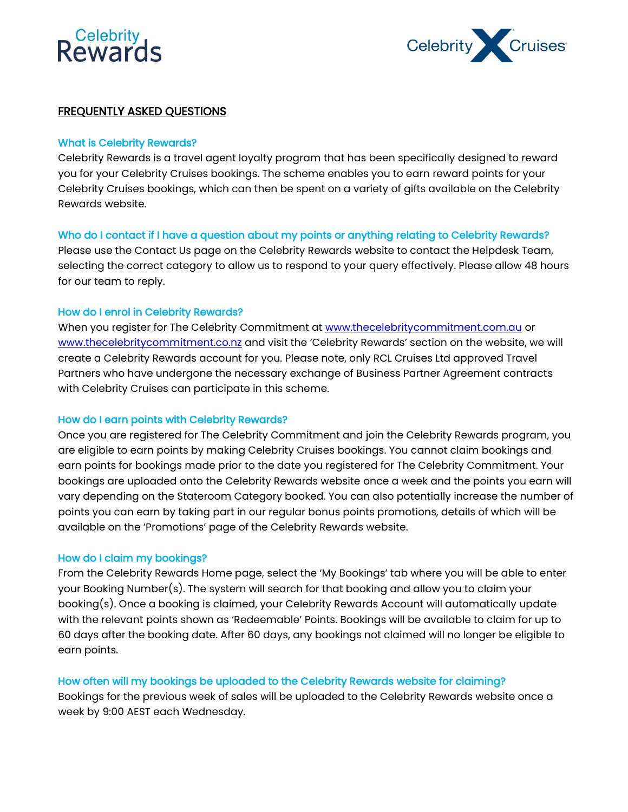# **Rewards**



## FREQUENTLY ASKED QUESTIONS

### What is Celebrity Rewards?

Celebrity Rewards is a travel agent loyalty program that has been specifically designed to reward you for your Celebrity Cruises bookings. The scheme enables you to earn reward points for your Celebrity Cruises bookings, which can then be spent on a variety of gifts available on the Celebrity Rewards website.

## Who do I contact if I have a question about my points or anything relating to Celebrity Rewards?

Please use the Contact Us page on the Celebrity Rewards website to contact the Helpdesk Team, selecting the correct category to allow us to respond to your query effectively. Please allow 48 hours for our team to reply.

## How do I enrol in Celebrity Rewards?

When you register for The Celebrity Commitment at [www.thecelebritycommitment.com.au](http://www.thecelebritycommitment.com.au/) or [www.thecelebritycommitment.co.nz](http://www.thecelebritycommitment.co.nz/) and visit the 'Celebrity Rewards' section on the website, we will create a Celebrity Rewards account for you. Please note, only RCL Cruises Ltd approved Travel Partners who have undergone the necessary exchange of Business Partner Agreement contracts with Celebrity Cruises can participate in this scheme.

#### How do I earn points with Celebrity Rewards?

Once you are registered for The Celebrity Commitment and join the Celebrity Rewards program, you are eligible to earn points by making Celebrity Cruises bookings. You cannot claim bookings and earn points for bookings made prior to the date you registered for The Celebrity Commitment. Your bookings are uploaded onto the Celebrity Rewards website once a week and the points you earn will vary depending on the Stateroom Category booked. You can also potentially increase the number of points you can earn by taking part in our regular bonus points promotions, details of which will be available on the 'Promotions' page of the Celebrity Rewards website.

#### How do I claim my bookings?

From the Celebrity Rewards Home page, select the 'My Bookings' tab where you will be able to enter your Booking Number(s). The system will search for that booking and allow you to claim your booking(s). Once a booking is claimed, your Celebrity Rewards Account will automatically update with the relevant points shown as 'Redeemable' Points. Bookings will be available to claim for up to 60 days after the booking date. After 60 days, any bookings not claimed will no longer be eligible to earn points.

#### How often will my bookings be uploaded to the Celebrity Rewards website for claiming?

Bookings for the previous week of sales will be uploaded to the Celebrity Rewards website once a week by 9:00 AEST each Wednesday.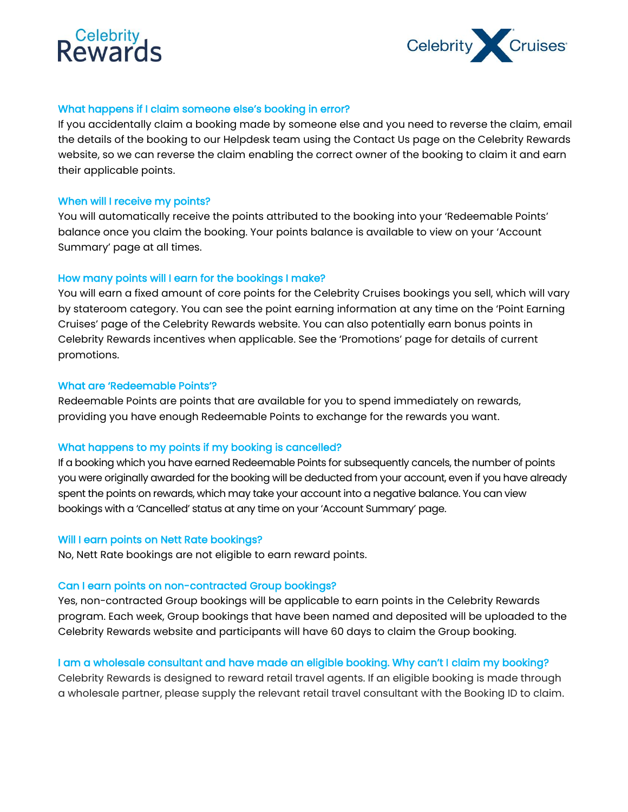## **Reward**



## What happens if I claim someone else's booking in error?

If you accidentally claim a booking made by someone else and you need to reverse the claim, email the details of the booking to our Helpdesk team using the Contact Us page on the Celebrity Rewards website, so we can reverse the claim enabling the correct owner of the booking to claim it and earn their applicable points.

#### When will I receive my points?

You will automatically receive the points attributed to the booking into your 'Redeemable Points' balance once you claim the booking. Your points balance is available to view on your 'Account Summary' page at all times.

## How many points will I earn for the bookings I make?

You will earn a fixed amount of core points for the Celebrity Cruises bookings you sell, which will vary by stateroom category. You can see the point earning information at any time on the 'Point Earning Cruises' page of the Celebrity Rewards website. You can also potentially earn bonus points in Celebrity Rewards incentives when applicable. See the 'Promotions' page for details of current promotions.

#### What are 'Redeemable Points'?

Redeemable Points are points that are available for you to spend immediately on rewards, providing you have enough Redeemable Points to exchange for the rewards you want.

## What happens to my points if my booking is cancelled?

If a booking which you have earned Redeemable Points for subsequently cancels, the number of points you were originally awarded for the booking will be deducted from your account, even if you have already spent the points on rewards, which may take your account into a negative balance. You can view bookings with a 'Cancelled' status at any time on your 'Account Summary' page.

#### Will I earn points on Nett Rate bookings?

No, Nett Rate bookings are not eligible to earn reward points.

#### Can I earn points on non-contracted Group bookings?

Yes, non-contracted Group bookings will be applicable to earn points in the Celebrity Rewards program. Each week, Group bookings that have been named and deposited will be uploaded to the Celebrity Rewards website and participants will have 60 days to claim the Group booking.

## I am a wholesale consultant and have made an eligible booking. Why can't I claim my booking?

Celebrity Rewards is designed to reward retail travel agents. If an eligible booking is made through a wholesale partner, please supply the relevant retail travel consultant with the Booking ID to claim.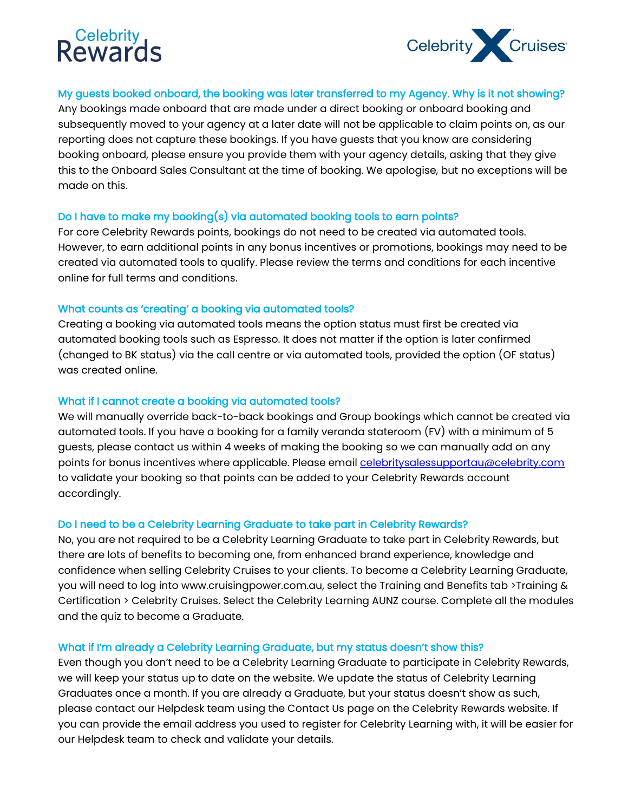# **Relebrity**<br>Reward



## My guests booked onboard, the booking was later transferred to my Agency. Why is it not showing?

Any bookings made onboard that are made under a direct booking or onboard booking and subsequently moved to your agency at a later date will not be applicable to claim points on, as our reporting does not capture these bookings. If you have guests that you know are considering booking onboard, please ensure you provide them with your agency details, asking that they give this to the Onboard Sales Consultant at the time of booking. We apologise, but no exceptions will be made on this.

## Do I have to make my booking(s) via automated booking tools to earn points?

For core Celebrity Rewards points, bookings do not need to be created via automated tools. However, to earn additional points in any bonus incentives or promotions, bookings may need to be created via automated tools to qualify. Please review the terms and conditions for each incentive online for full terms and conditions.

## What counts as 'creating' a booking via automated tools?

Creating a booking via automated tools means the option status must first be created via automated booking tools such as Espresso. It does not matter if the option is later confirmed (changed to BK status) via the call centre or via automated tools, provided the option (OF status) was created online.

## What if I cannot create a booking via automated tools?

We will manually override back-to-back bookings and Group bookings which cannot be created via automated tools. If you have a booking for a family veranda stateroom (FV) with a minimum of 5 guests, please contact us within 4 weeks of making the booking so we can manually add on any points for bonus incentives where applicable. Please email [celebritysalessupportau@celebrity.com](mailto:celebritysalessupportau@celebrity.com) to validate your booking so that points can be added to your Celebrity Rewards account accordingly.

## Do I need to be a Celebrity Learning Graduate to take part in Celebrity Rewards?

No, you are not required to be a Celebrity Learning Graduate to take part in Celebrity Rewards, but there are lots of benefits to becoming one, from enhanced brand experience, knowledge and confidence when selling Celebrity Cruises to your clients. To become a Celebrity Learning Graduate, you will need to log into www.cruisingpower.com.au, select the Training and Benefits tab >Training & Certification > Celebrity Cruises. Select the Celebrity Learning AUNZ course. Complete all the modules and the quiz to become a Graduate.

## What if I'm already a Celebrity Learning Graduate, but my status doesn't show this?

Even though you don't need to be a Celebrity Learning Graduate to participate in Celebrity Rewards, we will keep your status up to date on the website. We update the status of Celebrity Learning Graduates once a month. If you are already a Graduate, but your status doesn't show as such, please contact our Helpdesk team using the Contact Us page on the Celebrity Rewards website. If you can provide the email address you used to register for Celebrity Learning with, it will be easier for our Helpdesk team to check and validate your details.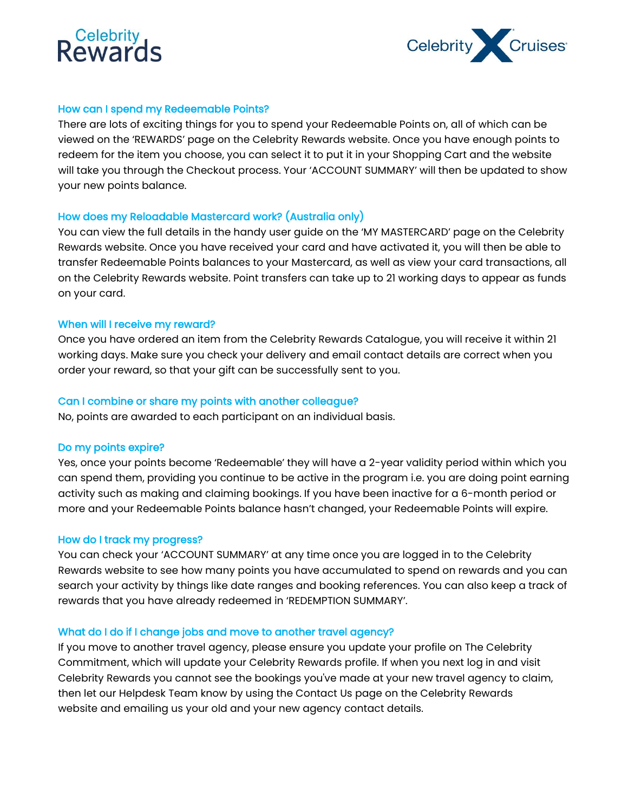## **Reward**



## How can I spend my Redeemable Points?

There are lots of exciting things for you to spend your Redeemable Points on, all of which can be viewed on the 'REWARDS' page on the Celebrity Rewards website. Once you have enough points to redeem for the item you choose, you can select it to put it in your Shopping Cart and the website will take you through the Checkout process. Your 'ACCOUNT SUMMARY' will then be updated to show your new points balance.

## How does my Reloadable Mastercard work? (Australia only)

You can view the full details in the handy user guide on the 'MY MASTERCARD' page on the Celebrity Rewards website. Once you have received your card and have activated it, you will then be able to transfer Redeemable Points balances to your Mastercard, as well as view your card transactions, all on the Celebrity Rewards website. Point transfers can take up to 21 working days to appear as funds on your card.

#### When will I receive my reward?

Once you have ordered an item from the Celebrity Rewards Catalogue, you will receive it within 21 working days. Make sure you check your delivery and email contact details are correct when you order your reward, so that your gift can be successfully sent to you.

## Can I combine or share my points with another colleague?

No, points are awarded to each participant on an individual basis.

#### Do my points expire?

Yes, once your points become 'Redeemable' they will have a 2-year validity period within which you can spend them, providing you continue to be active in the program i.e. you are doing point earning activity such as making and claiming bookings. If you have been inactive for a 6-month period or more and your Redeemable Points balance hasn't changed, your Redeemable Points will expire.

#### How do I track my progress?

You can check your 'ACCOUNT SUMMARY' at any time once you are logged in to the Celebrity Rewards website to see how many points you have accumulated to spend on rewards and you can search your activity by things like date ranges and booking references. You can also keep a track of rewards that you have already redeemed in 'REDEMPTION SUMMARY'.

#### What do I do if I change jobs and move to another travel agency?

If you move to another travel agency, please ensure you update your profile on The Celebrity Commitment, which will update your Celebrity Rewards profile. If when you next log in and visit Celebrity Rewards you cannot see the bookings you've made at your new travel agency to claim, then let our Helpdesk Team know by using the Contact Us page on the Celebrity Rewards website and emailing us your old and your new agency contact details.